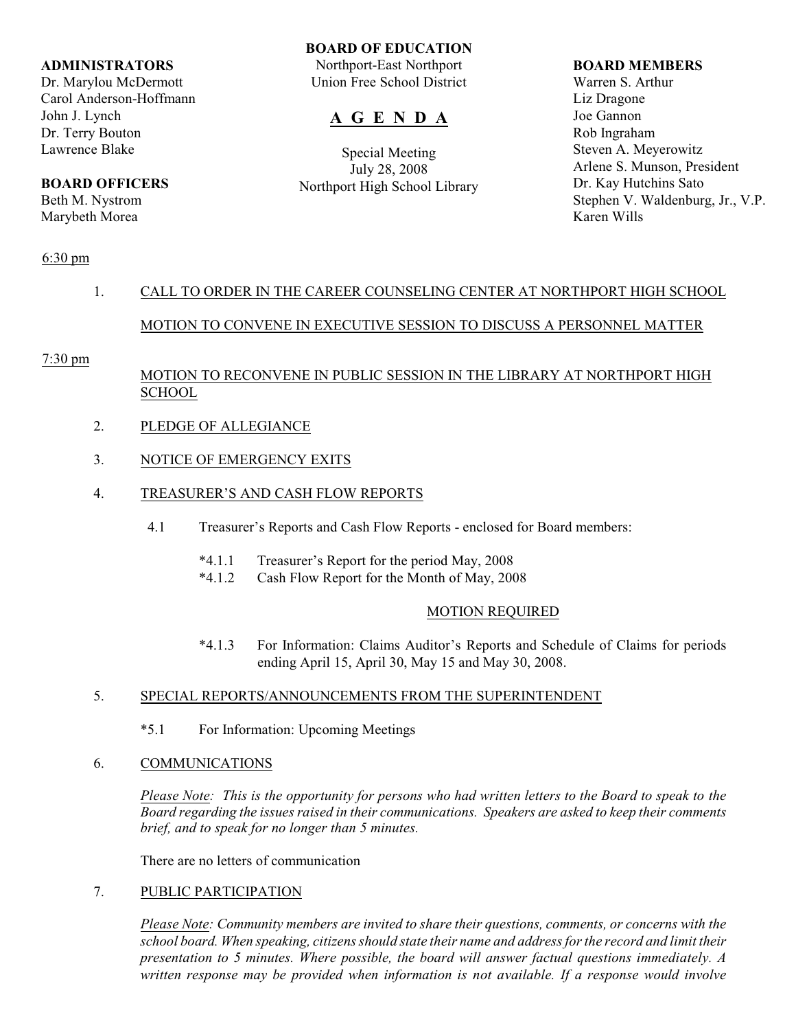### **ADMINISTRATORS**

Dr. Marylou McDermott Carol Anderson-Hoffmann John J. Lynch Dr. Terry Bouton Lawrence Blake

# **BOARD OFFICERS**

Beth M. Nystrom Marybeth Morea

### **BOARD OF EDUCATION**

Northport-East Northport Union Free School District

# **A G E N D A**

Special Meeting July 28, 2008 Northport High School Library

### **BOARD MEMBERS**

Warren S. Arthur Liz Dragone Joe Gannon Rob Ingraham Steven A. Meyerowitz Arlene S. Munson, President Dr. Kay Hutchins Sato Stephen V. Waldenburg, Jr., V.P. Karen Wills

## 6:30 pm

## 1. CALL TO ORDER IN THE CAREER COUNSELING CENTER AT NORTHPORT HIGH SCHOOL

## MOTION TO CONVENE IN EXECUTIVE SESSION TO DISCUSS A PERSONNEL MATTER

## 7:30 pm

## MOTION TO RECONVENE IN PUBLIC SESSION IN THE LIBRARY AT NORTHPORT HIGH **SCHOOL**

- 2. PLEDGE OF ALLEGIANCE
- 3. NOTICE OF EMERGENCY EXITS
- 4. TREASURER'S AND CASH FLOW REPORTS
	- 4.1 Treasurer's Reports and Cash Flow Reports enclosed for Board members:
		- \*4.1.1 Treasurer's Report for the period May, 2008
		- \*4.1.2 Cash Flow Report for the Month of May, 2008

## MOTION REQUIRED

\*4.1.3 For Information: Claims Auditor's Reports and Schedule of Claims for periods ending April 15, April 30, May 15 and May 30, 2008.

## 5. SPECIAL REPORTS/ANNOUNCEMENTS FROM THE SUPERINTENDENT

- \*5.1 For Information: Upcoming Meetings
- 6. COMMUNICATIONS

*Please Note: This is the opportunity for persons who had written letters to the Board to speak to the Board regarding the issues raised in their communications. Speakers are asked to keep their comments brief, and to speak for no longer than 5 minutes.*

There are no letters of communication

## 7. PUBLIC PARTICIPATION

*Please Note: Community members are invited to share their questions, comments, or concerns with the school board. When speaking, citizens should state their name and address for the record and limit their presentation to 5 minutes. Where possible, the board will answer factual questions immediately. A written response may be provided when information is not available. If a response would involve*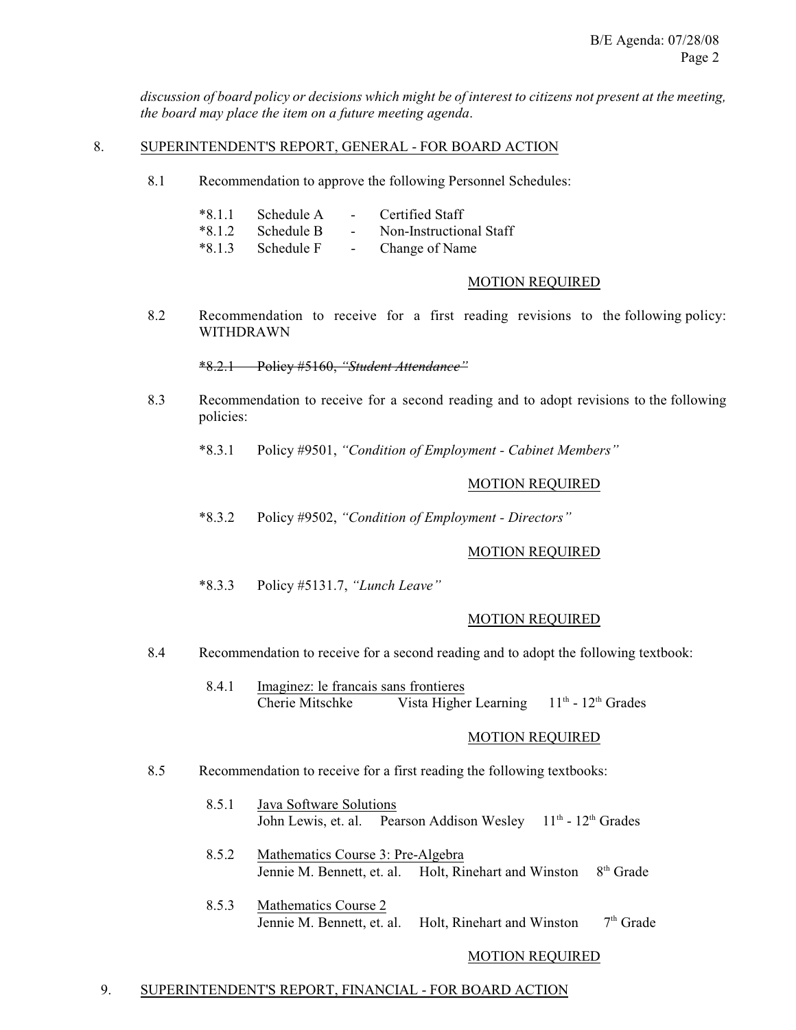*discussion of board policy or decisions which might be of interest to citizens not present at the meeting, the board may place the item on a future meeting agenda*.

#### 8. SUPERINTENDENT'S REPORT, GENERAL - FOR BOARD ACTION

8.1 Recommendation to approve the following Personnel Schedules:

|          | $*8.1.1$ Schedule A | $\sim$           | Certified Staff         |
|----------|---------------------|------------------|-------------------------|
| $*8.1.2$ | – Schedule B        | $\sim$ 100 $\mu$ | Non-Instructional Staff |
|          | $*8.1.3$ Schedule F | $\sim$           | Change of Name          |

# MOTION REQUIRED

8.2 Recommendation to receive for a first reading revisions to the following policy: WITHDRAWN

\*8.2.1 Policy #5160, *"Student Attendance"*

8.3 Recommendation to receive for a second reading and to adopt revisions to the following policies:

\*8.3.1 Policy #9501, *"Condition of Employment - Cabinet Members"*

### MOTION REQUIRED

\*8.3.2 Policy #9502, *"Condition of Employment - Directors"*

### MOTION REQUIRED

\*8.3.3 Policy #5131.7, *"Lunch Leave"*

#### MOTION REQUIRED

- 8.4 Recommendation to receive for a second reading and to adopt the following textbook:
	- 8.4.1 Imaginez: le francais sans frontieres Cherie Mitschke Vista Higher Learning  $11<sup>th</sup> - 12<sup>th</sup>$  Grades

### MOTION REQUIRED

- 8.5 Recommendation to receive for a first reading the following textbooks:
	- 8.5.1 Java Software Solutions John Lewis, et. al. Pearson Addison Wesley 11<sup>th</sup> - 12<sup>th</sup> Grades
	- 8.5.2 Mathematics Course 3: Pre-Algebra Jennie M. Bennett, et. al. Holt, Rinehart and Winston 8<sup>th</sup> Grade
	- 8.5.3 Mathematics Course 2 Jennie M. Bennett, et. al. Holt, Rinehart and Winston  $7<sup>th</sup>$  Grade

#### MOTION REQUIRED

#### 9. SUPERINTENDENT'S REPORT, FINANCIAL - FOR BOARD ACTION